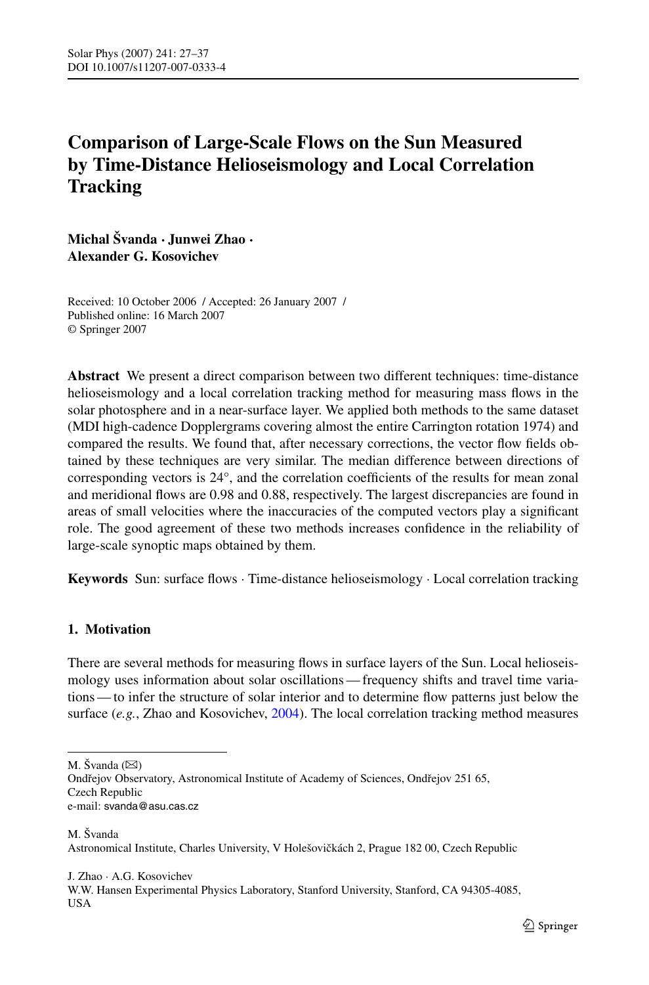# <span id="page-0-0"></span>**Comparison of Large-Scale Flows on the Sun Measured by Time-Distance Helioseismology and Local Correlation Tracking**

**Michal Švanda · Junwei Zhao · Alexander G. Kosovichev**

Received: 10 October 2006 / Accepted: 26 January 2007 / Published online: 16 March 2007 © Springer 2007

**Abstract** We present a direct comparison between two different techniques: time-distance helioseismology and a local correlation tracking method for measuring mass flows in the solar photosphere and in a near-surface layer. We applied both methods to the same dataset (MDI high-cadence Dopplergrams covering almost the entire Carrington rotation 1974) and compared the results. We found that, after necessary corrections, the vector flow fields obtained by these techniques are very similar. The median difference between directions of corresponding vectors is 24°, and the correlation coefficients of the results for mean zonal and meridional flows are 0.98 and 0.88, respectively. The largest discrepancies are found in areas of small velocities where the inaccuracies of the computed vectors play a significant role. The good agreement of these two methods increases confidence in the reliability of large-scale synoptic maps obtained by them.

**Keywords** Sun: surface flows · Time-distance helioseismology · Local correlation tracking

# **1. Motivation**

There are several methods for measuring flows in surface layers of the Sun. Local helioseismology uses information about solar oscillations — frequency shifts and travel time variations — to infer the structure of solar interior and to determine flow patterns just below the surface (*e.g.*, Zhao and Kosovichev, [2004\)](#page-10-0). The local correlation tracking method measures

M. Švanda Astronomical Institute, Charles University, V Holešovičkách 2, Prague 182 00, Czech Republic

J. Zhao · A.G. Kosovichev W.W. Hansen Experimental Physics Laboratory, Stanford University, Stanford, CA 94305-4085, USA

M. Švanda  $(\boxtimes)$ 

Ondřejov Observatory, Astronomical Institute of Academy of Sciences, Ondřejov 251 65, Czech Republic e-mail: svanda@asu.cas.cz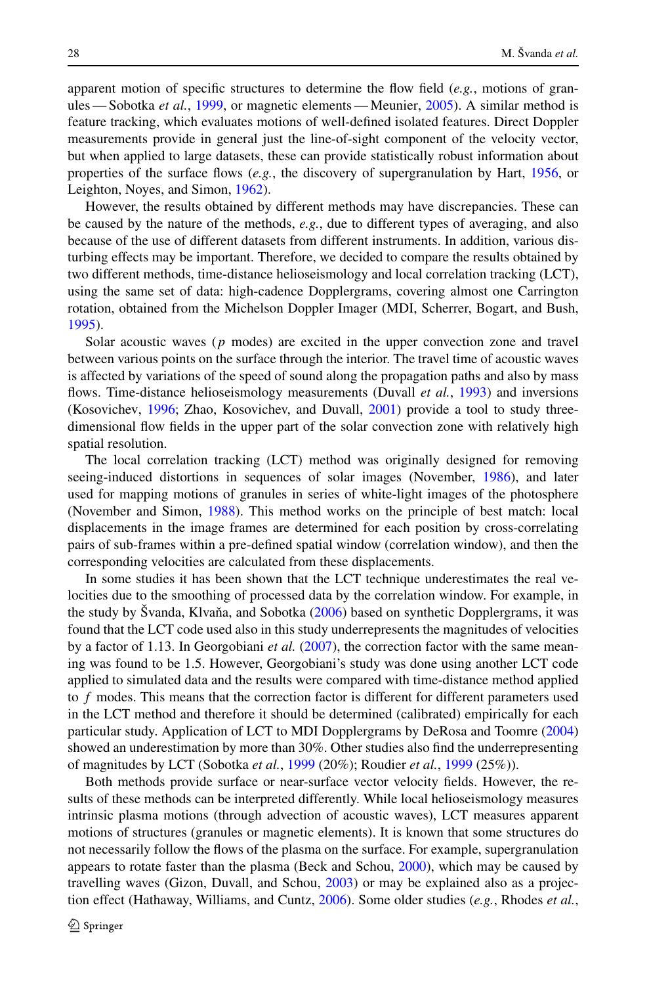apparent motion of specific structures to determine the flow field (*e.g.*, motions of granules — Sobotka *et al.*, [1999](#page-10-0), or magnetic elements — Meunier, [2005\)](#page-10-0). A similar method is feature tracking, which evaluates motions of well-defined isolated features. Direct Doppler measurements provide in general just the line-of-sight component of the velocity vector, but when applied to large datasets, these can provide statistically robust information about properties of the surface flows (*e.g.*, the discovery of supergranulation by Hart, [1956,](#page-10-0) or Leighton, Noyes, and Simon, [1962\)](#page-10-0).

However, the results obtained by different methods may have discrepancies. These can be caused by the nature of the methods, *e.g.*, due to different types of averaging, and also because of the use of different datasets from different instruments. In addition, various disturbing effects may be important. Therefore, we decided to compare the results obtained by two different methods, time-distance helioseismology and local correlation tracking (LCT), using the same set of data: high-cadence Dopplergrams, covering almost one Carrington rotation, obtained from the Michelson Doppler Imager (MDI, Scherrer, Bogart, and Bush, [1995\)](#page-10-0).

Solar acoustic waves (*p* modes) are excited in the upper convection zone and travel between various points on the surface through the interior. The travel time of acoustic waves is affected by variations of the speed of sound along the propagation paths and also by mass flows. Time-distance helioseismology measurements (Duvall *et al.*, [1993](#page-10-0)) and inversions (Kosovichev, [1996;](#page-10-0) Zhao, Kosovichev, and Duvall, [2001](#page-10-0)) provide a tool to study threedimensional flow fields in the upper part of the solar convection zone with relatively high spatial resolution.

The local correlation tracking (LCT) method was originally designed for removing seeing-induced distortions in sequences of solar images (November, [1986\)](#page-10-0), and later used for mapping motions of granules in series of white-light images of the photosphere (November and Simon, [1988](#page-10-0)). This method works on the principle of best match: local displacements in the image frames are determined for each position by cross-correlating pairs of sub-frames within a pre-defined spatial window (correlation window), and then the corresponding velocities are calculated from these displacements.

In some studies it has been shown that the LCT technique underestimates the real velocities due to the smoothing of processed data by the correlation window. For example, in the study by Švanda, Klvaňa, and Sobotka  $(2006)$  $(2006)$  based on synthetic Dopplergrams, it was found that the LCT code used also in this study underrepresents the magnitudes of velocities by a factor of 1.13. In Georgobiani *et al.* ([2007\)](#page-10-0), the correction factor with the same meaning was found to be 1.5. However, Georgobiani's study was done using another LCT code applied to simulated data and the results were compared with time-distance method applied to *f* modes. This means that the correction factor is different for different parameters used in the LCT method and therefore it should be determined (calibrated) empirically for each particular study. Application of LCT to MDI Dopplergrams by DeRosa and Toomre [\(2004](#page-10-0)) showed an underestimation by more than 30%. Other studies also find the underrepresenting of magnitudes by LCT (Sobotka *et al.*, [1999](#page-10-0) (20%); Roudier *et al.*, [1999](#page-10-0) (25%)).

Both methods provide surface or near-surface vector velocity fields. However, the results of these methods can be interpreted differently. While local helioseismology measures intrinsic plasma motions (through advection of acoustic waves), LCT measures apparent motions of structures (granules or magnetic elements). It is known that some structures do not necessarily follow the flows of the plasma on the surface. For example, supergranulation appears to rotate faster than the plasma (Beck and Schou, [2000](#page-10-0)), which may be caused by travelling waves (Gizon, Duvall, and Schou, [2003](#page-10-0)) or may be explained also as a projection effect (Hathaway, Williams, and Cuntz, [2006\)](#page-10-0). Some older studies (*e.g.*, Rhodes *et al.*,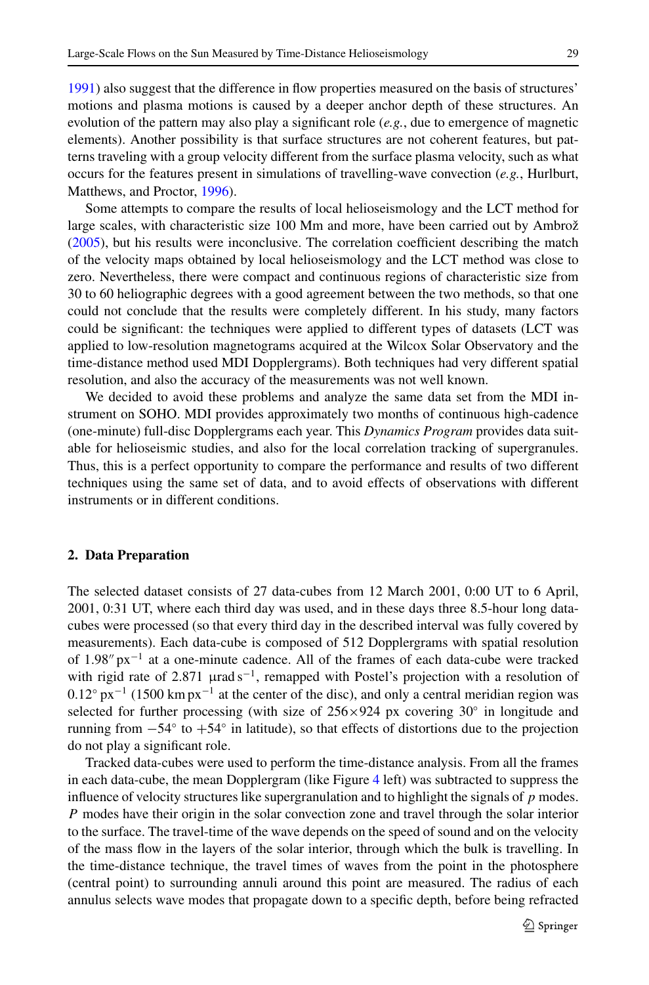[1991\)](#page-10-0) also suggest that the difference in flow properties measured on the basis of structures' motions and plasma motions is caused by a deeper anchor depth of these structures. An evolution of the pattern may also play a significant role (*e.g.*, due to emergence of magnetic elements). Another possibility is that surface structures are not coherent features, but patterns traveling with a group velocity different from the surface plasma velocity, such as what occurs for the features present in simulations of travelling-wave convection (*e.g.*, Hurlburt, Matthews, and Proctor, [1996\)](#page-10-0).

Some attempts to compare the results of local helioseismology and the LCT method for large scales, with characteristic size 100 Mm and more, have been carried out by Ambrož ([2005\)](#page-10-0), but his results were inconclusive. The correlation coefficient describing the match of the velocity maps obtained by local helioseismology and the LCT method was close to zero. Nevertheless, there were compact and continuous regions of characteristic size from 30 to 60 heliographic degrees with a good agreement between the two methods, so that one could not conclude that the results were completely different. In his study, many factors could be significant: the techniques were applied to different types of datasets (LCT was applied to low-resolution magnetograms acquired at the Wilcox Solar Observatory and the time-distance method used MDI Dopplergrams). Both techniques had very different spatial resolution, and also the accuracy of the measurements was not well known.

We decided to avoid these problems and analyze the same data set from the MDI instrument on SOHO. MDI provides approximately two months of continuous high-cadence (one-minute) full-disc Dopplergrams each year. This *Dynamics Program* provides data suitable for helioseismic studies, and also for the local correlation tracking of supergranules. Thus, this is a perfect opportunity to compare the performance and results of two different techniques using the same set of data, and to avoid effects of observations with different instruments or in different conditions.

#### **2. Data Preparation**

The selected dataset consists of 27 data-cubes from 12 March 2001, 0:00 UT to 6 April, 2001, 0:31 UT, where each third day was used, and in these days three 8.5-hour long datacubes were processed (so that every third day in the described interval was fully covered by measurements). Each data-cube is composed of 512 Dopplergrams with spatial resolution of 1.98"  $px^{-1}$  at a one-minute cadence. All of the frames of each data-cube were tracked with rigid rate of 2.871 μrad s<sup>-1</sup>, remapped with Postel's projection with a resolution of  $0.12°$  px<sup>-1</sup> (1500 km px<sup>-1</sup> at the center of the disc), and only a central meridian region was selected for further processing (with size of  $256\times924$  px covering 30° in longitude and running from  $-54°$  to  $+54°$  in latitude), so that effects of distortions due to the projection do not play a significant role.

Tracked data-cubes were used to perform the time-distance analysis. From all the frames in each data-cube, the mean Dopplergram (like Figure [4](#page-7-0) left) was subtracted to suppress the influence of velocity structures like supergranulation and to highlight the signals of *p* modes. *P* modes have their origin in the solar convection zone and travel through the solar interior to the surface. The travel-time of the wave depends on the speed of sound and on the velocity of the mass flow in the layers of the solar interior, through which the bulk is travelling. In the time-distance technique, the travel times of waves from the point in the photosphere (central point) to surrounding annuli around this point are measured. The radius of each annulus selects wave modes that propagate down to a specific depth, before being refracted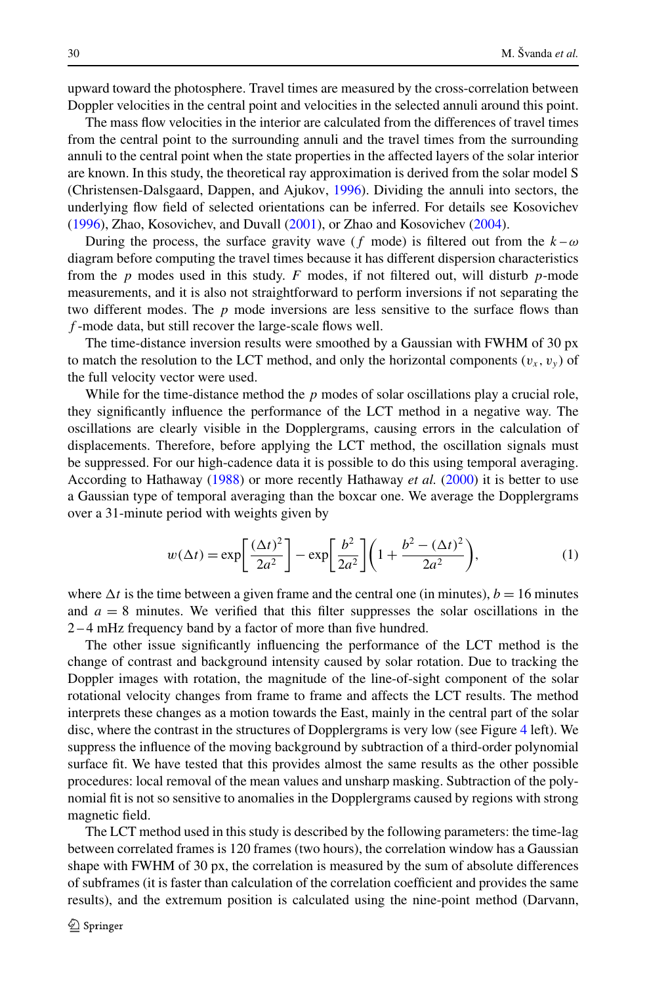upward toward the photosphere. Travel times are measured by the cross-correlation between Doppler velocities in the central point and velocities in the selected annuli around this point.

The mass flow velocities in the interior are calculated from the differences of travel times from the central point to the surrounding annuli and the travel times from the surrounding annuli to the central point when the state properties in the affected layers of the solar interior are known. In this study, the theoretical ray approximation is derived from the solar model S (Christensen-Dalsgaard, Dappen, and Ajukov, [1996](#page-10-0)). Dividing the annuli into sectors, the underlying flow field of selected orientations can be inferred. For details see Kosovichev ([1996\)](#page-10-0), Zhao, Kosovichev, and Duvall ([2001\)](#page-10-0), or Zhao and Kosovichev ([2004\)](#page-10-0).

During the process, the surface gravity wave (*f* mode) is filtered out from the  $k - \omega$ diagram before computing the travel times because it has different dispersion characteristics from the *p* modes used in this study. *F* modes, if not filtered out, will disturb *p*-mode measurements, and it is also not straightforward to perform inversions if not separating the two different modes. The *p* mode inversions are less sensitive to the surface flows than *f* -mode data, but still recover the large-scale flows well.

The time-distance inversion results were smoothed by a Gaussian with FWHM of 30 px to match the resolution to the LCT method, and only the horizontal components  $(v_x, v_y)$  of the full velocity vector were used.

While for the time-distance method the *p* modes of solar oscillations play a crucial role, they significantly influence the performance of the LCT method in a negative way. The oscillations are clearly visible in the Dopplergrams, causing errors in the calculation of displacements. Therefore, before applying the LCT method, the oscillation signals must be suppressed. For our high-cadence data it is possible to do this using temporal averaging. According to Hathaway [\(1988](#page-10-0)) or more recently Hathaway *et al.* ([2000\)](#page-10-0) it is better to use a Gaussian type of temporal averaging than the boxcar one. We average the Dopplergrams over a 31-minute period with weights given by

$$
w(\Delta t) = \exp\left[\frac{(\Delta t)^2}{2a^2}\right] - \exp\left[\frac{b^2}{2a^2}\right] \left(1 + \frac{b^2 - (\Delta t)^2}{2a^2}\right),\tag{1}
$$

where  $\Delta t$  is the time between a given frame and the central one (in minutes),  $b = 16$  minutes and  $a = 8$  minutes. We verified that this filter suppresses the solar oscillations in the 2 – 4 mHz frequency band by a factor of more than five hundred.

The other issue significantly influencing the performance of the LCT method is the change of contrast and background intensity caused by solar rotation. Due to tracking the Doppler images with rotation, the magnitude of the line-of-sight component of the solar rotational velocity changes from frame to frame and affects the LCT results. The method interprets these changes as a motion towards the East, mainly in the central part of the solar disc, where the contrast in the structures of Dopplergrams is very low (see Figure [4](#page-7-0) left). We suppress the influence of the moving background by subtraction of a third-order polynomial surface fit. We have tested that this provides almost the same results as the other possible procedures: local removal of the mean values and unsharp masking. Subtraction of the polynomial fit is not so sensitive to anomalies in the Dopplergrams caused by regions with strong magnetic field.

The LCT method used in this study is described by the following parameters: the time-lag between correlated frames is 120 frames (two hours), the correlation window has a Gaussian shape with FWHM of 30 px, the correlation is measured by the sum of absolute differences of subframes (it is faster than calculation of the correlation coefficient and provides the same results), and the extremum position is calculated using the nine-point method (Darvann,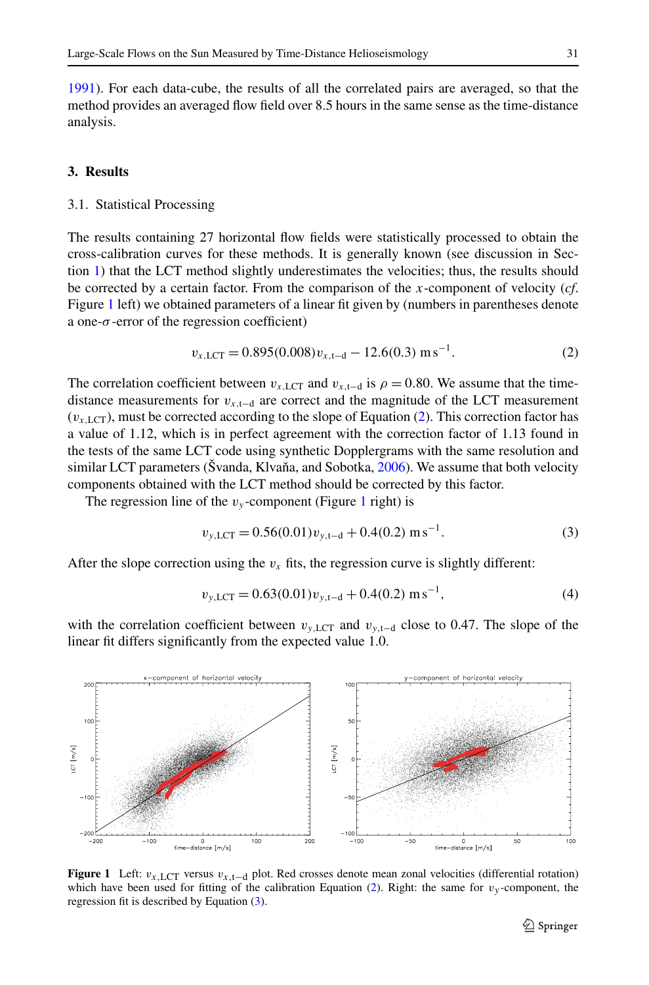<span id="page-4-0"></span>[1991\)](#page-10-0). For each data-cube, the results of all the correlated pairs are averaged, so that the method provides an averaged flow field over 8.5 hours in the same sense as the time-distance analysis.

#### **3. Results**

#### 3.1. Statistical Processing

The results containing 27 horizontal flow fields were statistically processed to obtain the cross-calibration curves for these methods. It is generally known (see discussion in Section [1](#page-0-0)) that the LCT method slightly underestimates the velocities; thus, the results should be corrected by a certain factor. From the comparison of the *x*-component of velocity (*cf*. Figure 1 left) we obtained parameters of a linear fit given by (numbers in parentheses denote a one-*σ* -error of the regression coefficient)

$$
v_{x,\text{LCT}} = 0.895(0.008)v_{x,\text{t-d}} - 12.6(0.3) \text{ m s}^{-1}.
$$
 (2)

The correlation coefficient between  $v_{x,\text{LCT}}$  and  $v_{x,\text{t-d}}$  is  $\rho = 0.80$ . We assume that the timedistance measurements for  $v_{x,t-d}$  are correct and the magnitude of the LCT measurement  $(v_{x, \text{LCT}})$ , must be corrected according to the slope of Equation (2). This correction factor has a value of 1.12, which is in perfect agreement with the correction factor of 1.13 found in the tests of the same LCT code using synthetic Dopplergrams with the same resolution and similar LCT parameters (Švanda, Klvaňa, and Sobotka,  $2006$ ). We assume that both velocity components obtained with the LCT method should be corrected by this factor.

The regression line of the  $v_y$ -component (Figure 1 right) is

$$
v_{y,\text{LCT}} = 0.56(0.01)v_{y,\text{t-d}} + 0.4(0.2) \text{ m s}^{-1}.
$$
 (3)

After the slope correction using the  $v_x$  fits, the regression curve is slightly different:

$$
v_{y,\text{LCT}} = 0.63(0.01)v_{y,\text{t-d}} + 0.4(0.2) \text{ m s}^{-1},\tag{4}
$$

with the correlation coefficient between  $v_{v, \text{LCT}}$  and  $v_{v, \text{L-d}}$  close to 0.47. The slope of the linear fit differs significantly from the expected value 1.0.



**Figure 1** Left: *vx,*LCT versus *vx,*t−d plot. Red crosses denote mean zonal velocities (differential rotation) which have been used for fitting of the calibration Equation (2). Right: the same for  $v_y$ -component, the regression fit is described by Equation (3).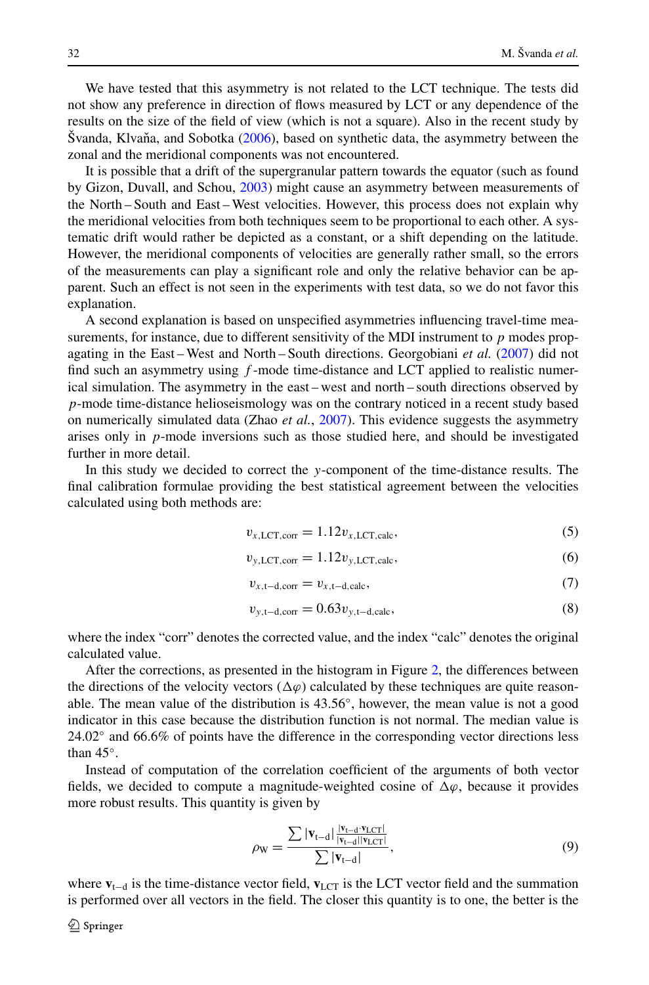We have tested that this asymmetry is not related to the LCT technique. The tests did not show any preference in direction of flows measured by LCT or any dependence of the results on the size of the field of view (which is not a square). Also in the recent study by Švanda, Klvaňa, and Sobotka ([2006](#page-10-0)), based on synthetic data, the asymmetry between the zonal and the meridional components was not encountered.

It is possible that a drift of the supergranular pattern towards the equator (such as found by Gizon, Duvall, and Schou, [2003](#page-10-0)) might cause an asymmetry between measurements of the North – South and East – West velocities. However, this process does not explain why the meridional velocities from both techniques seem to be proportional to each other. A systematic drift would rather be depicted as a constant, or a shift depending on the latitude. However, the meridional components of velocities are generally rather small, so the errors of the measurements can play a significant role and only the relative behavior can be apparent. Such an effect is not seen in the experiments with test data, so we do not favor this explanation.

A second explanation is based on unspecified asymmetries influencing travel-time measurements, for instance, due to different sensitivity of the MDI instrument to *p* modes propagating in the East – West and North – South directions. Georgobiani *et al.* ([2007\)](#page-10-0) did not find such an asymmetry using *f* -mode time-distance and LCT applied to realistic numerical simulation. The asymmetry in the east – west and north – south directions observed by *p*-mode time-distance helioseismology was on the contrary noticed in a recent study based on numerically simulated data (Zhao *et al.*, [2007\)](#page-10-0). This evidence suggests the asymmetry arises only in *p*-mode inversions such as those studied here, and should be investigated further in more detail.

In this study we decided to correct the *y*-component of the time-distance results. The final calibration formulae providing the best statistical agreement between the velocities calculated using both methods are:

$$
v_{x,\text{LCT,corr}} = 1.12 v_{x,\text{LCT,calc}},\tag{5}
$$

$$
v_{y,\text{LCT,corr}} = 1.12v_{y,\text{LCT,calc}},\tag{6}
$$

$$
v_{x,t-d,corr} = v_{x,t-d,calc},\tag{7}
$$

$$
v_{y, t-d, corr} = 0.63v_{y, t-d, calc},\tag{8}
$$

where the index "corr" denotes the corrected value, and the index "calc" denotes the original calculated value.

After the corrections, as presented in the histogram in Figure [2,](#page-6-0) the differences between the directions of the velocity vectors  $(\Delta \varphi)$  calculated by these techniques are quite reasonable. The mean value of the distribution is 43.56◦, however, the mean value is not a good indicator in this case because the distribution function is not normal. The median value is 24.02◦ and 66.6% of points have the difference in the corresponding vector directions less than 45◦.

Instead of computation of the correlation coefficient of the arguments of both vector fields, we decided to compute a magnitude-weighted cosine of  $\Delta \varphi$ , because it provides more robust results. This quantity is given by

$$
\rho_{\rm W} = \frac{\sum |\mathbf{v}_{\rm t-d}| \frac{|\mathbf{v}_{\rm t-d} \cdot \mathbf{v}_{\rm LCT}|}{|\mathbf{v}_{\rm t-d}| |\mathbf{v}_{\rm LCT}|}}{\sum |\mathbf{v}_{\rm t-d}|},
$$
(9)

where **v**<sub>t−d</sub> is the time-distance vector field, **v**<sub>LCT</sub> is the LCT vector field and the summation is performed over all vectors in the field. The closer this quantity is to one, the better is the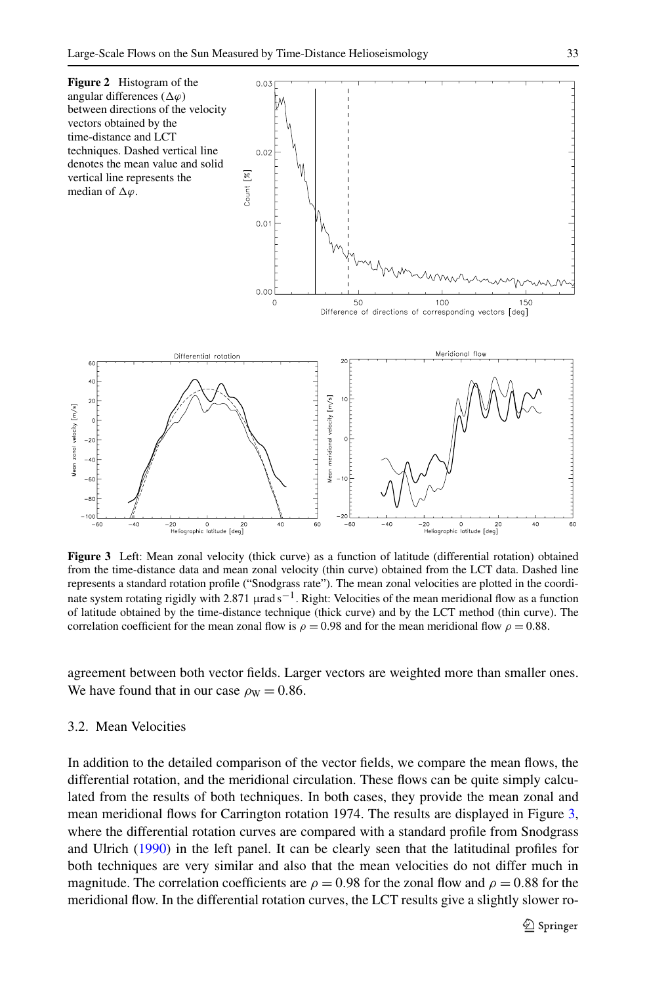<span id="page-6-0"></span>

**Figure 3** Left: Mean zonal velocity (thick curve) as a function of latitude (differential rotation) obtained from the time-distance data and mean zonal velocity (thin curve) obtained from the LCT data. Dashed line represents a standard rotation profile ("Snodgrass rate"). The mean zonal velocities are plotted in the coordinate system rotating rigidly with 2.871 µrad s<sup>-1</sup>. Right: Velocities of the mean meridional flow as a function of latitude obtained by the time-distance technique (thick curve) and by the LCT method (thin curve). The correlation coefficient for the mean zonal flow is  $\rho = 0.98$  and for the mean meridional flow  $\rho = 0.88$ .

agreement between both vector fields. Larger vectors are weighted more than smaller ones. We have found that in our case  $\rho_w = 0.86$ .

### 3.2. Mean Velocities

In addition to the detailed comparison of the vector fields, we compare the mean flows, the differential rotation, and the meridional circulation. These flows can be quite simply calculated from the results of both techniques. In both cases, they provide the mean zonal and mean meridional flows for Carrington rotation 1974. The results are displayed in Figure 3, where the differential rotation curves are compared with a standard profile from Snodgrass and Ulrich ([1990\)](#page-10-0) in the left panel. It can be clearly seen that the latitudinal profiles for both techniques are very similar and also that the mean velocities do not differ much in magnitude. The correlation coefficients are  $\rho = 0.98$  for the zonal flow and  $\rho = 0.88$  for the meridional flow. In the differential rotation curves, the LCT results give a slightly slower ro-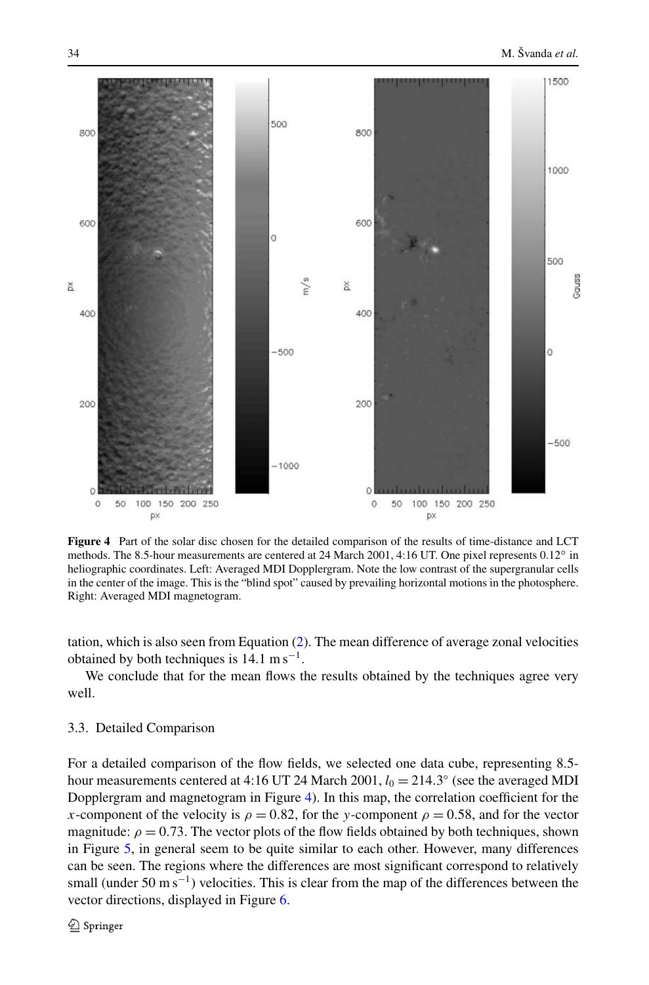<span id="page-7-0"></span>

**Figure 4** Part of the solar disc chosen for the detailed comparison of the results of time-distance and LCT methods. The 8.5-hour measurements are centered at 24 March 2001, 4:16 UT. One pixel represents 0.12◦ in heliographic coordinates. Left: Averaged MDI Dopplergram. Note the low contrast of the supergranular cells in the center of the image. This is the "blind spot" caused by prevailing horizontal motions in the photosphere. Right: Averaged MDI magnetogram.

tation, which is also seen from Equation ([2](#page-4-0)). The mean difference of average zonal velocities obtained by both techniques is  $14.1 \text{ m s}^{-1}$ .

We conclude that for the mean flows the results obtained by the techniques agree very well.

# 3.3. Detailed Comparison

For a detailed comparison of the flow fields, we selected one data cube, representing 8.5 hour measurements centered at 4:16 UT 24 March 2001,  $l_0 = 214.3^\circ$  (see the averaged MDI Dopplergram and magnetogram in Figure 4). In this map, the correlation coefficient for the *x*-component of the velocity is  $\rho = 0.82$ , for the *y*-component  $\rho = 0.58$ , and for the vector magnitude:  $\rho = 0.73$ . The vector plots of the flow fields obtained by both techniques, shown in Figure [5,](#page-8-0) in general seem to be quite similar to each other. However, many differences can be seen. The regions where the differences are most significant correspond to relatively small (under 50 m s<sup>-1</sup>) velocities. This is clear from the map of the differences between the vector directions, displayed in Figure [6.](#page-9-0)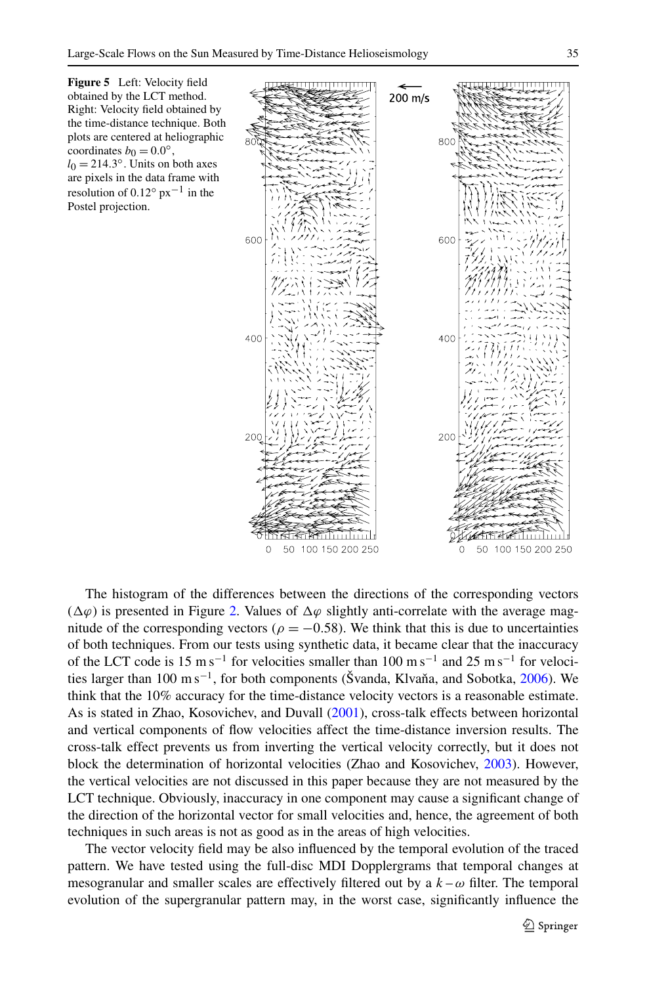<span id="page-8-0"></span>



The histogram of the differences between the directions of the corresponding vectors  $(\Delta \varphi)$  is presented in Figure [2.](#page-6-0) Values of  $\Delta \varphi$  slightly anti-correlate with the average magnitude of the corresponding vectors ( $\rho = -0.58$ ). We think that this is due to uncertainties of both techniques. From our tests using synthetic data, it became clear that the inaccuracy of the LCT code is 15 m s<sup>-1</sup> for velocities smaller than 100 m s<sup>-1</sup> and 25 m s<sup>-1</sup> for veloci-ties larger than 100 m s<sup>-1</sup>, for both components (Švanda, Klvaňa, and Sobotka, [2006\)](#page-10-0). We think that the 10% accuracy for the time-distance velocity vectors is a reasonable estimate. As is stated in Zhao, Kosovichev, and Duvall [\(2001](#page-10-0)), cross-talk effects between horizontal and vertical components of flow velocities affect the time-distance inversion results. The cross-talk effect prevents us from inverting the vertical velocity correctly, but it does not block the determination of horizontal velocities (Zhao and Kosovichev, [2003](#page-10-0)). However, the vertical velocities are not discussed in this paper because they are not measured by the LCT technique. Obviously, inaccuracy in one component may cause a significant change of the direction of the horizontal vector for small velocities and, hence, the agreement of both techniques in such areas is not as good as in the areas of high velocities.

The vector velocity field may be also influenced by the temporal evolution of the traced pattern. We have tested using the full-disc MDI Dopplergrams that temporal changes at mesogranular and smaller scales are effectively filtered out by a  $k - \omega$  filter. The temporal evolution of the supergranular pattern may, in the worst case, significantly influence the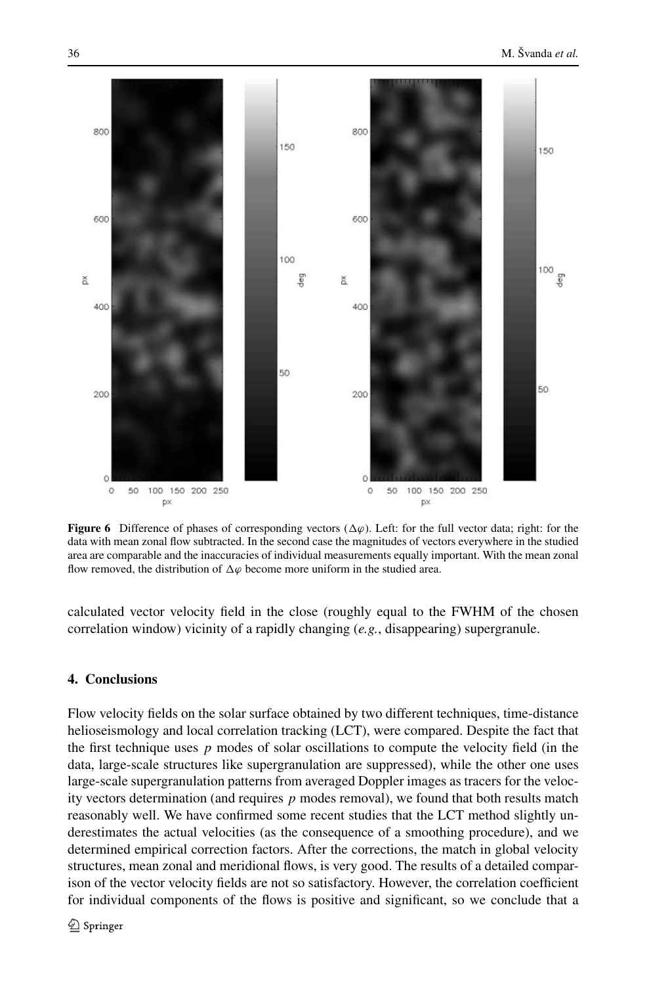<span id="page-9-0"></span>

**Figure 6** Difference of phases of corresponding vectors  $(\Delta \varphi)$ . Left: for the full vector data; right: for the data with mean zonal flow subtracted. In the second case the magnitudes of vectors everywhere in the studied area are comparable and the inaccuracies of individual measurements equally important. With the mean zonal flow removed, the distribution of  $\Delta\varphi$  become more uniform in the studied area.

calculated vector velocity field in the close (roughly equal to the FWHM of the chosen correlation window) vicinity of a rapidly changing (*e.g.*, disappearing) supergranule.

# **4. Conclusions**

Flow velocity fields on the solar surface obtained by two different techniques, time-distance helioseismology and local correlation tracking (LCT), were compared. Despite the fact that the first technique uses  $p$  modes of solar oscillations to compute the velocity field (in the data, large-scale structures like supergranulation are suppressed), while the other one uses large-scale supergranulation patterns from averaged Doppler images as tracers for the velocity vectors determination (and requires *p* modes removal), we found that both results match reasonably well. We have confirmed some recent studies that the LCT method slightly underestimates the actual velocities (as the consequence of a smoothing procedure), and we determined empirical correction factors. After the corrections, the match in global velocity structures, mean zonal and meridional flows, is very good. The results of a detailed comparison of the vector velocity fields are not so satisfactory. However, the correlation coefficient for individual components of the flows is positive and significant, so we conclude that a